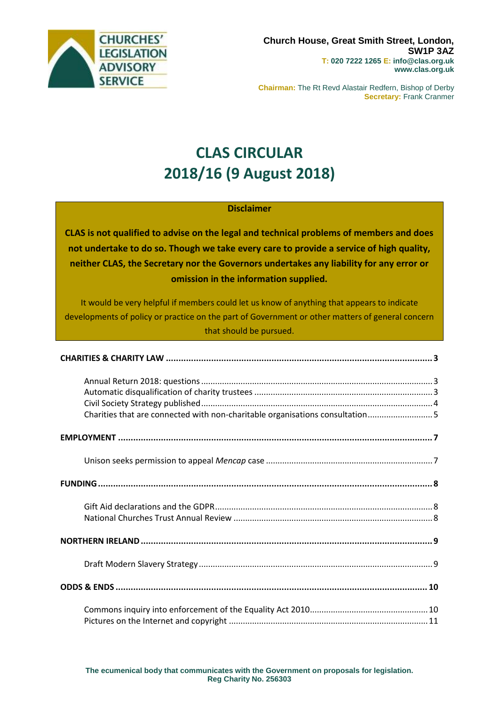

**Chairman:** The Rt Revd Alastair Redfern, Bishop of Derby **Secretary:** Frank Cranmer

# **CLAS CIRCULAR 2018/16 (9 August 2018)**

### **Disclaimer**

**CLAS is not qualified to advise on the legal and technical problems of members and does not undertake to do so. Though we take every care to provide a service of high quality, neither CLAS, the Secretary nor the Governors undertakes any liability for any error or omission in the information supplied.**

It would be very helpful if members could let us know of anything that appears to indicate developments of policy or practice on the part of Government or other matters of general concern that should be pursued.

| Charities that are connected with non-charitable organisations consultation5 |  |
|------------------------------------------------------------------------------|--|
|                                                                              |  |
|                                                                              |  |
|                                                                              |  |
|                                                                              |  |
|                                                                              |  |
|                                                                              |  |
|                                                                              |  |
|                                                                              |  |
|                                                                              |  |
|                                                                              |  |
|                                                                              |  |
|                                                                              |  |
|                                                                              |  |
|                                                                              |  |
|                                                                              |  |
|                                                                              |  |
|                                                                              |  |
|                                                                              |  |
|                                                                              |  |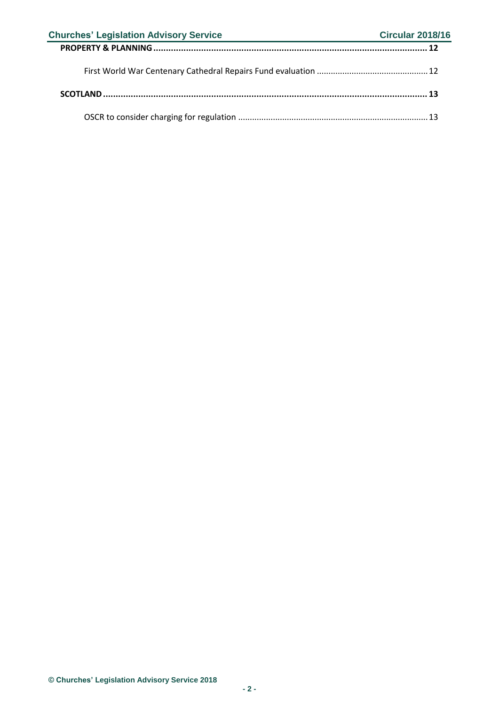| <b>Churches' Legislation Advisory Service</b> | <b>Circular 2018/16</b> |  |
|-----------------------------------------------|-------------------------|--|
|                                               |                         |  |
|                                               |                         |  |
|                                               |                         |  |
|                                               |                         |  |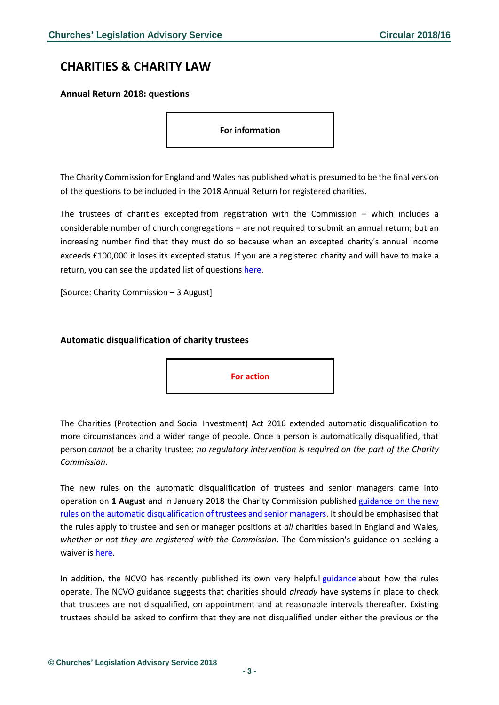### <span id="page-2-0"></span>**CHARITIES & CHARITY LAW**

#### <span id="page-2-1"></span>**Annual Return 2018: questions**

**For information**

The Charity Commission for England and Wales has published what is presumed to be the final version of the questions to be included in the 2018 Annual Return for registered charities.

The trustees of charities excepted from registration with the Commission – which includes a considerable number of church congregations – are not required to submit an annual return; but an increasing number find that they must do so because when an excepted charity's annual income exceeds £100,000 it loses its excepted status. If you are a registered charity and will have to make a return, you can see the updated list of questions [here.](https://ecclawsoc.org.uk/wp-content/uploads/2018/08/Annual_return_questions_2018_web_odt.pdf)

[Source: Charity Commission – 3 August]

#### <span id="page-2-2"></span>**Automatic disqualification of charity trustees**



The Charities (Protection and Social Investment) Act 2016 extended automatic disqualification to more circumstances and a wider range of people. Once a person is automatically disqualified, that person *cannot* be a charity trustee: *no regulatory intervention is required on the part of the Charity Commission*.

The new rules on the automatic disqualification of trustees and senior managers came into operation on **1 August** and in January 2018 the Charity Commission published [guidance on the new](https://www.gov.uk/guidance/automatic-disqualification-rule-changes-guidance-for-charities#preparing-for-the-rule-changes)  [rules on the automatic disqualification of trustees and senior managers.](https://www.gov.uk/guidance/automatic-disqualification-rule-changes-guidance-for-charities#preparing-for-the-rule-changes) It should be emphasised that the rules apply to trustee and senior manager positions at *all* charities based in England and Wales, *whether or not they are registered with the Commission*. The Commission's guidance on seeking a waiver i[s here.](https://www.gov.uk/guidance/automatic-disqualification-rules-for-charity-trustees-and-charity-senior-positions#apply-waiver)

In addition, the NCVO has recently published its own very helpful [guidance](https://knowhownonprofit.org/governance/improving-your-governance-practice/trustee-recruitment-and-induction/trustee-disqualification) about how the rules operate. The NCVO guidance suggests that charities should *already* have systems in place to check that trustees are not disqualified, on appointment and at reasonable intervals thereafter. Existing trustees should be asked to confirm that they are not disqualified under either the previous or the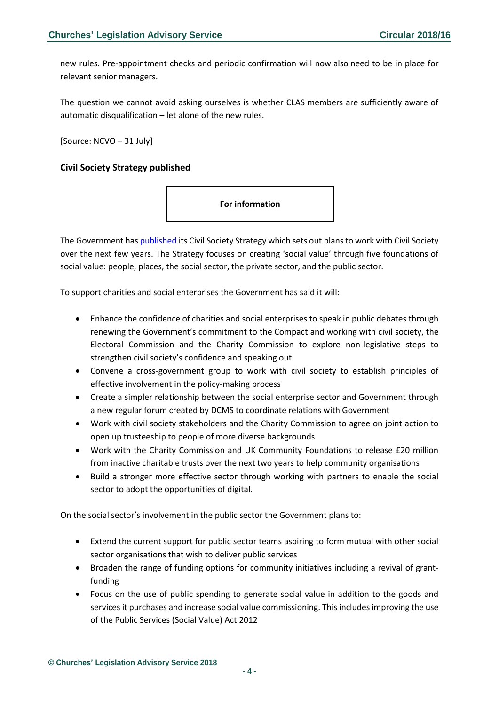new rules. Pre-appointment checks and periodic confirmation will now also need to be in place for relevant senior managers.

The question we cannot avoid asking ourselves is whether CLAS members are sufficiently aware of automatic disqualification – let alone of the new rules.

[Source: NCVO – 31 July]

### <span id="page-3-0"></span>**Civil Society Strategy published**



The Government has [published](https://assets.publishing.service.gov.uk/government/uploads/system/uploads/attachment_data/file/732764/Executive_summary_-_Civil_Society_Strategy.pdf) its Civil Society Strategy which sets out plans to work with Civil Society over the next few years. The Strategy focuses on creating 'social value' through five foundations of social value: people, places, the social sector, the private sector, and the public sector.

To support charities and social enterprises the Government has said it will:

- Enhance the confidence of charities and social enterprises to speak in public debates through renewing the Government's commitment to the Compact and working with civil society, the Electoral Commission and the Charity Commission to explore non-legislative steps to strengthen civil society's confidence and speaking out
- Convene a cross-government group to work with civil society to establish principles of effective involvement in the policy-making process
- Create a simpler relationship between the social enterprise sector and Government through a new regular forum created by DCMS to coordinate relations with Government
- Work with civil society stakeholders and the Charity Commission to agree on joint action to open up trusteeship to people of more diverse backgrounds
- Work with the Charity Commission and UK Community Foundations to release £20 million from inactive charitable trusts over the next two years to help community organisations
- Build a stronger more effective sector through working with partners to enable the social sector to adopt the opportunities of digital.

On the social sector's involvement in the public sector the Government plans to:

- Extend the current support for public sector teams aspiring to form mutual with other social sector organisations that wish to deliver public services
- Broaden the range of funding options for community initiatives including a revival of grantfunding
- Focus on the use of public spending to generate social value in addition to the goods and services it purchases and increase social value commissioning. This includes improving the use of the Public Services (Social Value) Act 2012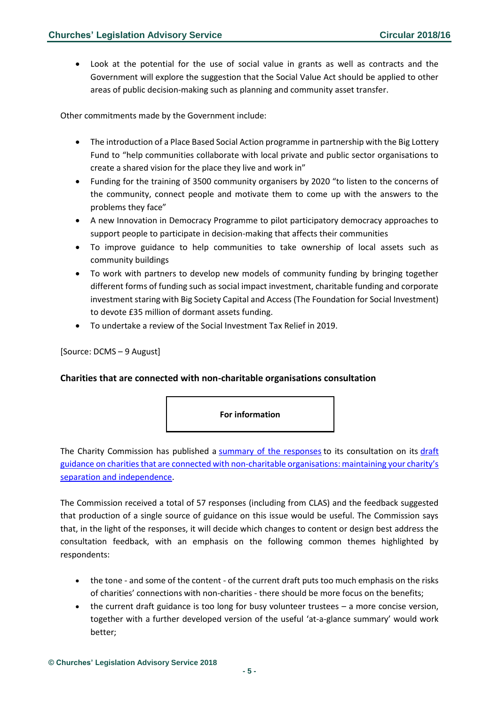• Look at the potential for the use of social value in grants as well as contracts and the Government will explore the suggestion that the Social Value Act should be applied to other areas of public decision-making such as planning and community asset transfer.

Other commitments made by the Government include:

- The introduction of a Place Based Social Action programme in partnership with the Big Lottery Fund to "help communities collaborate with local private and public sector organisations to create a shared vision for the place they live and work in"
- Funding for the training of 3500 community organisers by 2020 "to listen to the concerns of the community, connect people and motivate them to come up with the answers to the problems they face"
- A new Innovation in Democracy Programme to pilot participatory democracy approaches to support people to participate in decision-making that affects their communities
- To improve guidance to help communities to take ownership of local assets such as community buildings
- To work with partners to develop new models of community funding by bringing together different forms of funding such as social impact investment, charitable funding and corporate investment staring with Big Society Capital and Access (The Foundation for Social Investment) to devote £35 million of dormant assets funding.
- To undertake a review of the Social Investment Tax Relief in 2019.

#### [Source: DCMS – 9 August]

#### <span id="page-4-0"></span>**Charities that are connected with non-charitable organisations consultation**



The Charity Commission has published a [summary of the responses](https://assets.publishing.service.gov.uk/government/uploads/system/uploads/attachment_data/file/732612/Charities_that_are_connected_with_non-charitable_organisations_consultation_outcome.pdf) to its consultation on its [draft](https://assets.publishing.service.gov.uk/government/uploads/system/uploads/attachment_data/file/680773/Final_draft_guidance_for_connected_charities.pdf)  [guidance on charities that are connected with non-charitable organisations: maint](https://assets.publishing.service.gov.uk/government/uploads/system/uploads/attachment_data/file/680773/Final_draft_guidance_for_connected_charities.pdf)aining your charity's [separation and independence.](https://assets.publishing.service.gov.uk/government/uploads/system/uploads/attachment_data/file/680773/Final_draft_guidance_for_connected_charities.pdf)

The Commission received a total of 57 responses (including from CLAS) and the feedback suggested that production of a single source of guidance on this issue would be useful. The Commission says that, in the light of the responses, it will decide which changes to content or design best address the consultation feedback, with an emphasis on the following common themes highlighted by respondents:

- the tone and some of the content of the current draft puts too much emphasis on the risks of charities' connections with non-charities - there should be more focus on the benefits;
- the current draft guidance is too long for busy volunteer trustees a more concise version, together with a further developed version of the useful 'at-a-glance summary' would work better;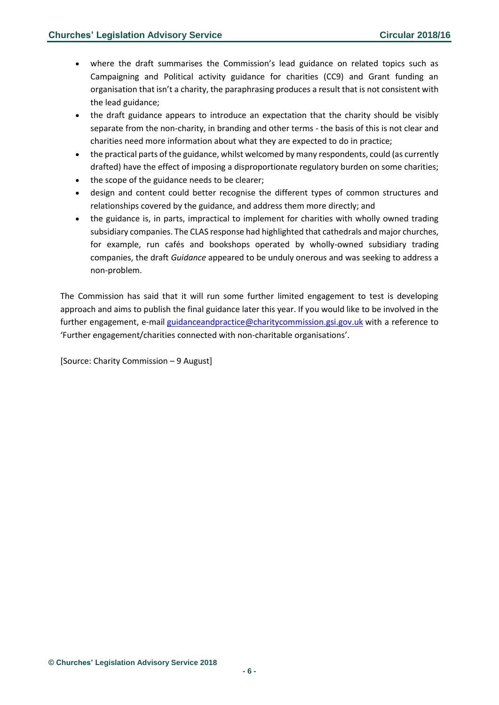- where the draft summarises the Commission's lead guidance on related topics such as Campaigning and Political activity guidance for charities (CC9) and Grant funding an organisation that isn't a charity, the paraphrasing produces a result that is not consistent with the lead guidance;
- the draft guidance appears to introduce an expectation that the charity should be visibly separate from the non-charity, in branding and other terms - the basis of this is not clear and charities need more information about what they are expected to do in practice;
- the practical parts of the guidance, whilst welcomed by many respondents, could (as currently drafted) have the effect of imposing a disproportionate regulatory burden on some charities;
- the scope of the guidance needs to be clearer;
- design and content could better recognise the different types of common structures and relationships covered by the guidance, and address them more directly; and
- the guidance is, in parts, impractical to implement for charities with wholly owned trading subsidiary companies. The CLAS response had highlighted that cathedrals and major churches, for example, run cafés and bookshops operated by wholly-owned subsidiary trading companies, the draft *Guidance* appeared to be unduly onerous and was seeking to address a non-problem.

The Commission has said that it will run some further limited engagement to test is developing approach and aims to publish the final guidance later this year. If you would like to be involved in the further engagement, e-mail [guidanceandpractice@charitycommission.gsi.gov.uk](mailto:guidanceandpractice@charitycommission.gsi.gov.uk) with a reference to 'Further engagement/charities connected with non-charitable organisations'.

[Source: Charity Commission – 9 August]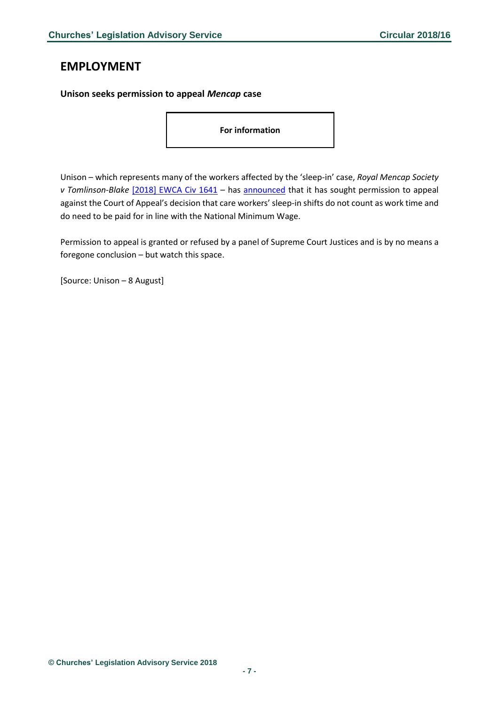### <span id="page-6-0"></span>**EMPLOYMENT**

#### <span id="page-6-1"></span>**Unison seeks permission to appeal** *Mencap* **case**

**For information**

Unison – which represents many of the workers affected by the 'sleep-in' case, *Royal Mencap Society v Tomlinson-Blake* [\[2018\] EWCA Civ 1641](http://www.bailii.org/ew/cases/EWCA/Civ/2018/1641.html) – has [announced](https://www.unison.org.uk/news/2018/08/sleep-in-appeal/) that it has sought permission to appeal against the Court of Appeal's decision that care workers' sleep-in shifts do not count as work time and do need to be paid for in line with the National Minimum Wage.

Permission to appeal is granted or refused by a panel of Supreme Court Justices and is by no means a foregone conclusion – but watch this space.

[Source: Unison – 8 August]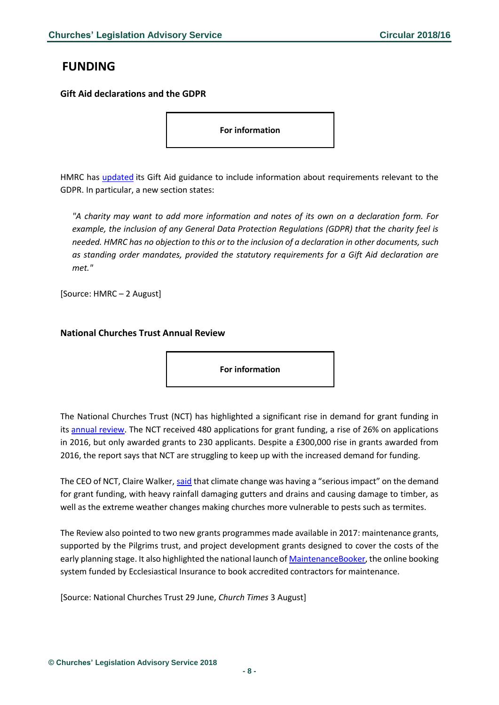# <span id="page-7-0"></span>**FUNDING**

<span id="page-7-1"></span>**Gift Aid declarations and the GDPR**

**For information**

HMRC has *updated* its Gift Aid guidance to include information about requirements relevant to the GDPR. In particular, a new section states:

*"A charity may want to add more information and notes of its own on a declaration form. For example, the inclusion of any General Data Protection Regulations (GDPR) that the charity feel is needed. HMRC has no objection to this or to the inclusion of a declaration in other documents, such as standing order mandates, provided the statutory requirements for a Gift Aid declaration are met."*

[Source: HMRC – 2 August]

#### <span id="page-7-2"></span>**National Churches Trust Annual Review**

**For information**

The National Churches Trust (NCT) has highlighted a significant rise in demand for grant funding in its [annual review.](https://issuu.com/nationalchurchestrust/docs/nct_annual_review__final) The NCT received 480 applications for grant funding, a rise of 26% on applications in 2016, but only awarded grants to 230 applicants. Despite a £300,000 rise in grants awarded from 2016, the report says that NCT are struggling to keep up with the increased demand for funding.

The CEO of NCT, Claire Walker, [said](https://www.churchtimes.co.uk/articles/2018/3-august/news/uk/nct-s-funding-is-put-under-strain) that climate change was having a "serious impact" on the demand for grant funding, with heavy rainfall damaging gutters and drains and causing damage to timber, as well as the extreme weather changes making churches more vulnerable to pests such as termites.

The Review also pointed to two new grants programmes made available in 2017: maintenance grants, supported by the Pilgrims trust, and project development grants designed to cover the costs of the early planning stage. It also highlighted the national launch of [MaintenanceBooker,](https://www.maintenancebooker.org.uk/) the online booking system funded by Ecclesiastical Insurance to book accredited contractors for maintenance.

[Source: National Churches Trust 29 June, *Church Times* 3 August]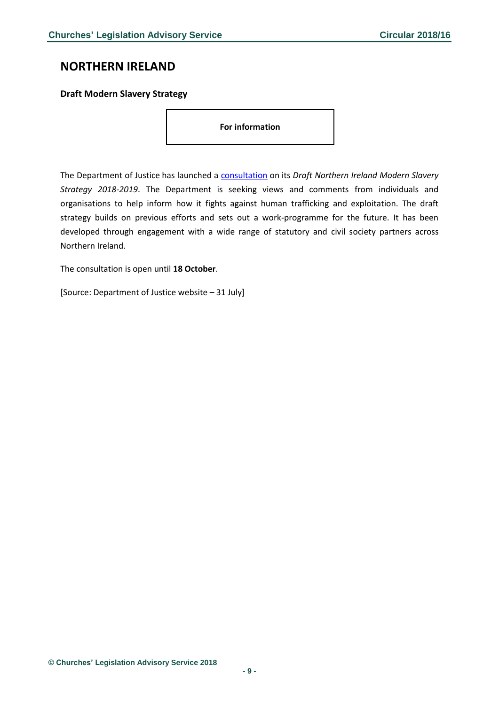### <span id="page-8-0"></span>**NORTHERN IRELAND**

### <span id="page-8-1"></span>**Draft Modern Slavery Strategy**

**For information**

The Department of Justice has launched a [consultation](https://www.justice-ni.gov.uk/sites/default/files/consultations/justice/ms-consultation.pdf) on its *Draft Northern Ireland Modern Slavery Strategy 2018-2019*. The Department is seeking views and comments from individuals and organisations to help inform how it fights against human trafficking and exploitation. The draft strategy builds on previous efforts and sets out a work-programme for the future. It has been developed through engagement with a wide range of statutory and civil society partners across Northern Ireland.

The consultation is open until **18 October**.

[Source: Department of Justice website – 31 July]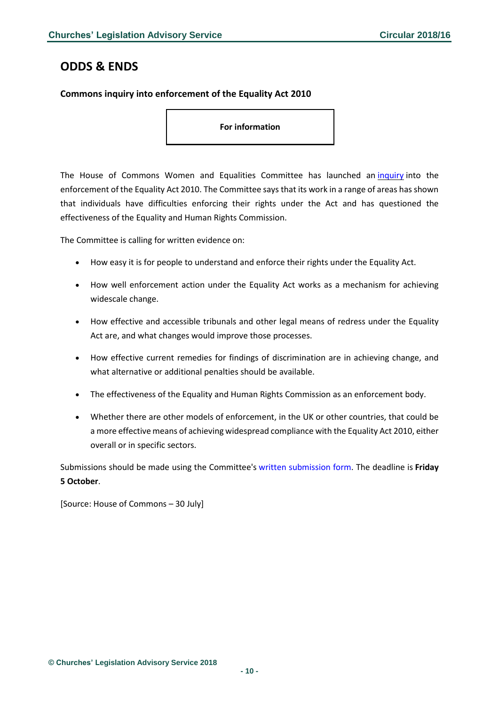### <span id="page-9-0"></span>**ODDS & ENDS**

### <span id="page-9-1"></span>**Commons inquiry into enforcement of the Equality Act 2010**

**For information**

The House of Commons Women and Equalities Committee has launched an [inquiry](https://www.parliament.uk/business/committees/committees-a-z/commons-select/women-and-equalities-committee/news-parliament-2017/enforcing-the-equality-act-launch-17-19/) into the enforcement of the Equality Act 2010. The Committee says that its work in a range of areas hasshown that individuals have difficulties enforcing their rights under the Act and has questioned the effectiveness of the Equality and Human Rights Commission.

The Committee is calling for written evidence on:

- How easy it is for people to understand and enforce their rights under the Equality Act.
- How well enforcement action under the Equality Act works as a mechanism for achieving widescale change.
- How effective and accessible tribunals and other legal means of redress under the Equality Act are, and what changes would improve those processes.
- How effective current remedies for findings of discrimination are in achieving change, and what alternative or additional penalties should be available.
- The effectiveness of the Equality and Human Rights Commission as an enforcement body.
- Whether there are other models of enforcement, in the UK or other countries, that could be a more effective means of achieving widespread compliance with the Equality Act 2010, either overall or in specific sectors.

Submissions should be made using the Committee's written [submission](https://www.parliament.uk/business/committees/committees-a-z/commons-select/women-and-equalities-committee/inquiries/parliament-2017/enforcing-the-equality-act-17-19/commons-written-submission-form/) form. The deadline is **Friday 5 October**.

[Source: House of Commons – 30 July]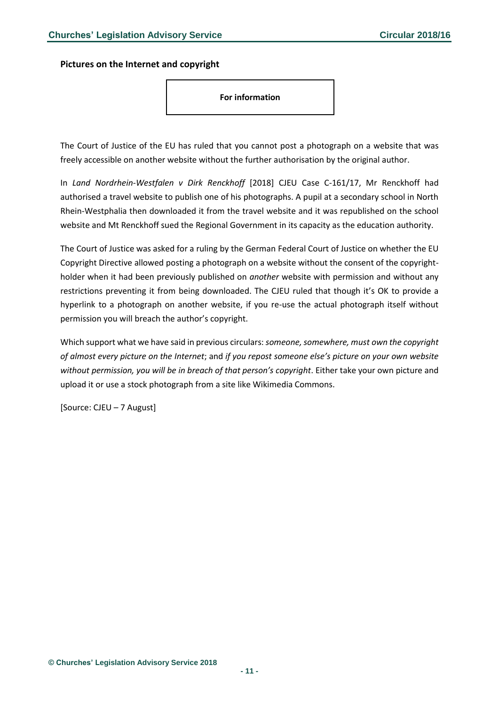<span id="page-10-0"></span>**Pictures on the Internet and copyright**

**For information**

The Court of Justice of the EU has ruled that you cannot post a photograph on a website that was freely accessible on another website without the further authorisation by the original author.

In *Land Nordrhein-Westfalen v Dirk Renckhoff* [2018] CJEU Case C-161/17, Mr Renckhoff had authorised a travel website to publish one of his photographs. A pupil at a secondary school in North Rhein-Westphalia then downloaded it from the travel website and it was republished on the school website and Mt Renckhoff sued the Regional Government in its capacity as the education authority.

The Court of Justice was asked for a ruling by the German Federal Court of Justice on whether the EU Copyright Directive allowed posting a photograph on a website without the consent of the copyrightholder when it had been previously published on *another* website with permission and without any restrictions preventing it from being downloaded. The CJEU ruled that though it's OK to provide a hyperlink to a photograph on another website, if you re-use the actual photograph itself without permission you will breach the author's copyright.

Which support what we have said in previous circulars: *someone, somewhere, must own the copyright of almost every picture on the Internet*; and *if you repost someone else's picture on your own website without permission, you will be in breach of that person's copyright*. Either take your own picture and upload it or use a stock photograph from a site like Wikimedia Commons.

[Source: CJEU – 7 August]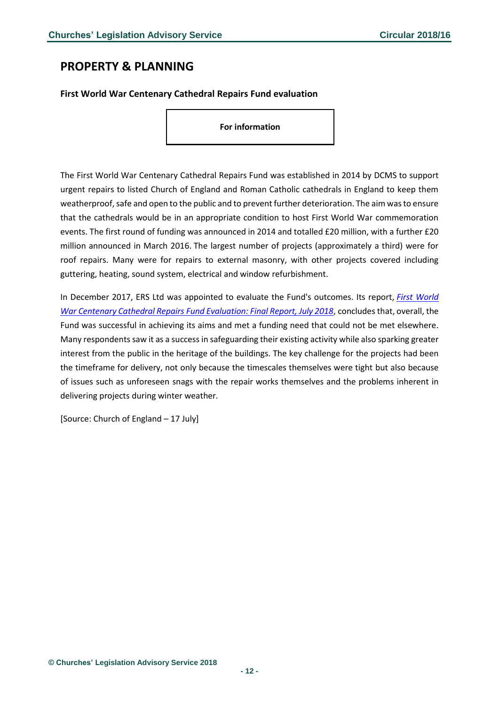# <span id="page-11-0"></span>**PROPERTY & PLANNING**

### <span id="page-11-1"></span>**First World War Centenary Cathedral Repairs Fund evaluation**

**For information**

The First World War Centenary Cathedral Repairs Fund was established in 2014 by DCMS to support urgent repairs to listed Church of England and Roman Catholic cathedrals in England to keep them weatherproof, safe and open to the public and to prevent further deterioration. The aim was to ensure that the cathedrals would be in an appropriate condition to host First World War commemoration events. The first round of funding was announced in 2014 and totalled £20 million, with a further £20 million announced in March 2016. The largest number of projects (approximately a third) were for roof repairs. Many were for repairs to external masonry, with other projects covered including guttering, heating, sound system, electrical and window refurbishment.

In December 2017, ERS Ltd was appointed to evaluate the Fund's outcomes. Its report, *[First World](https://gallery.mailchimp.com/50eac70851c7245ce1ce00c45/files/f32d296d-68ea-4744-ab36-0743a8138cd8/WW1_Evaluation_FINAL_REPORT_040718_PDF.pdf)  [War Centenary Cathedral Repairs Fund Evaluation: Final Report, July 2018](https://gallery.mailchimp.com/50eac70851c7245ce1ce00c45/files/f32d296d-68ea-4744-ab36-0743a8138cd8/WW1_Evaluation_FINAL_REPORT_040718_PDF.pdf)*, concludes that, overall, the Fund was successful in achieving its aims and met a funding need that could not be met elsewhere. Many respondents saw it as a success in safeguarding their existing activity while also sparking greater interest from the public in the heritage of the buildings. The key challenge for the projects had been the timeframe for delivery, not only because the timescales themselves were tight but also because of issues such as unforeseen snags with the repair works themselves and the problems inherent in delivering projects during winter weather.

[Source: Church of England – 17 July]